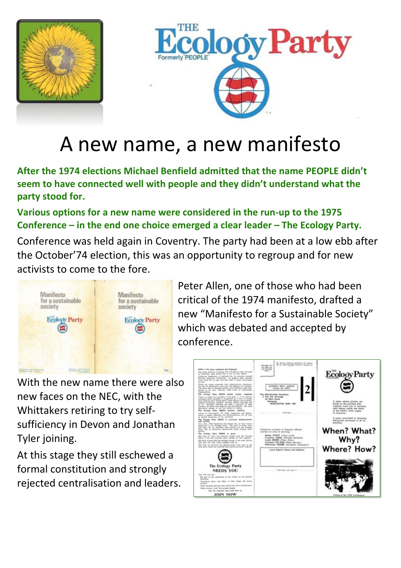



# A new name, a new manifesto

**After the 1974 elections Michael Benfield admitted that the name PEOPLE didn't seem to have connected well with people and they didn't understand what the party stood for.** 

**Various options for a new name were considered in the run-up to the 1975 Conference – in the end one choice emerged a clear leader – The Ecology Party.**

Conference was held again in Coventry. The party had been at a low ebb after the October'74 election, this was an opportunity to regroup and for new activists to come to the fore.



Peter Allen, one of those who had been critical of the 1974 manifesto, drafted a new "Manifesto for a Sustainable Society" which was debated and accepted by conference.

With the new name there were also new faces on the NEC, with the Whittakers retiring to try selfsufficiency in Devon and Jonathan



### Tyler joining.

#### At this stage they still eschewed a formal constitution and strongly rejected centralisation and leaders.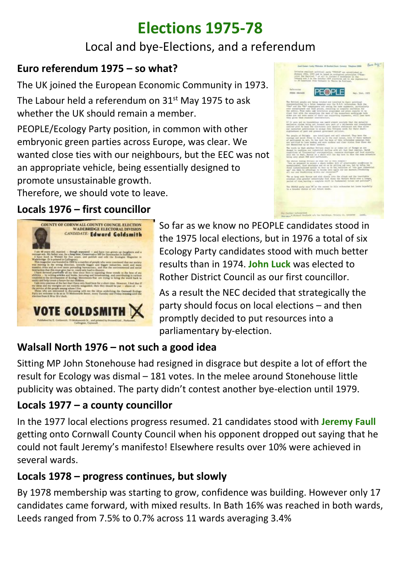# **Elections 1975-78**

## Local and bye-Elections, and a referendum

#### **Euro referendum 1975 – so what?**

The UK joined the European Economic Community in 1973.

The Labour held a referendum on 31<sup>st</sup> May 1975 to ask whether the UK should remain a member.

PEOPLE/Ecology Party position, in common with other embryonic green parties across Europe, was clear. We wanted close ties with our neighbours, but the EEC was not an appropriate vehicle, being essentially designed to promote unsustainable growth.

Therefore, we should vote to leave.

### **Locals 1976 – first councillor**



# COUNTY OF CORNWALL COUNTY COUNCIL ELECTION **WADEBRIDGE ELECTORAL DIVISION** CANDIDATE: Edward Goldsmith **VOTE GOLDSMITH**

So far as we know no PEOPLE candidates stood in the 1975 local elections, but in 1976 a total of six Ecology Party candidates stood with much better results than in 1974. **John Luck** was elected to Rother District Council as our first councillor.

As a result the NEC decided that strategically the party should focus on local elections – and then promptly decided to put resources into a parliamentary by-election.

## **Walsall North 1976 – not such a good idea**

Sitting MP John Stonehouse had resigned in disgrace but despite a lot of effort the result for Ecology was dismal – 181 votes. In the melee around Stonehouse little publicity was obtained. The party didn't contest another bye-election until 1979.

### **Locals 1977 – a county councillor**

In the 1977 local elections progress resumed. 21 candidates stood with **Jeremy Faull**

getting onto Cornwall County Council when his opponent dropped out saying that he could not fault Jeremy's manifesto! Elsewhere results over 10% were achieved in several wards.

#### **Locals 1978 – progress continues, but slowly**

By 1978 membership was starting to grow, confidence was building. However only 17 candidates came forward, with mixed results. In Bath 16% was reached in both wards, Leeds ranged from 7.5% to 0.7% across 11 wards averaging 3.4%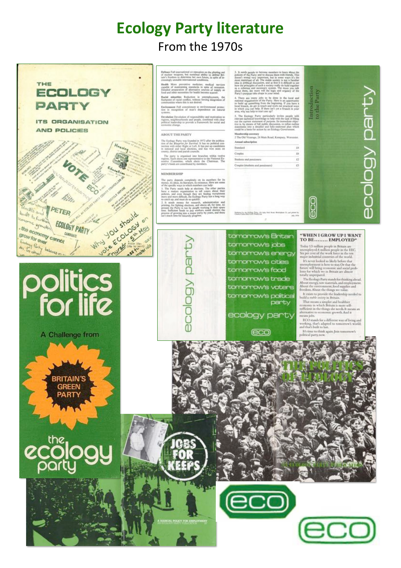# **Ecology Party literature** From the 1970s



Definee Full international co-operation on the plusting out<br>of marker vespons, but sustained ability to defind Britain's freedom to determine her own future, in split of in-<br>creasingly unstable international conditions,

Health More preventive medicine; medical survices capable of maintaining standards in spite of recession. Detailed preparation of atternative noncerts of supply as found other recessions for health brooms scarcer.

Raelal minorities Reduction in unemployment,<br>flushpoint of racial conflict, without forcing images<br>is communities where this is not desired.

Environment Pull commitment to environmental protection in recognition of man's dependence on natural

Developing Devolution of responsibility and motivation to<br>regions, strighterethnoods and propis, combined with clear<br>political leadership to provide a framework for social and<br>oconomic change.

#### ABOUT THE PARTY

The Ecology Party was founded in 1973 after the publication of the atting<br>prior for Sarvinal. It has no political concernion with either Right or<br>Lett. It has no political concerning the stational and foral elections, and

The party is organised into branches within twelve regions. Each electron one representative to the National Executive consistence. which electric the Chairman. The party's funds are contributed by members.

#### **MEMBERSHIP**

The party depends completely on its members for its money, its ideas, it is therefore, the state of the specific steam in which members can help! I. The Party needs of the specific steam is a decision of the other parties

ig<br>O

**ABOIOS** 

3. It easels proping to be<br>comen mometers to learn about the policies of the Party and to discuss them with friends. This should very important, but in some ways it's the most important of all. The stable society is not a

Firstly France are many jobs to be done in the local and 4. Those are many jobs to be done in the local and rational organisation of the Party. Here is an opportunity to build up something from the beginning. If you have

5. The Ecology Party particularly invites people with the last of fits of the current submodiate color partners in the current statement of partners. Its immediate objects of the political and fully-submodiate objects sta

Membership sountary<br>2 The Old Vicenage, 26 Main Road, Kempsey, Worcester

| Лавный выбластрении              |  |  |
|----------------------------------|--|--|
| Standard                         |  |  |
|                                  |  |  |
| Students and pensioners'         |  |  |
| Couples (Mudents and pensioners) |  |  |



tomorrow's Britain tomorrow's jobs tomorrow's energy tomorrow's cities tomorrow's food tomorrow's trade tomorrow's voters tomorrow's political party

ecology party

#### "WHEN I GROW UP I WANT TO BE........ EMPLOYED"

Introduction<br>to the Party

 $\overline{\overline{0}}$ 

Today 1.5 million people in Britain are<br>unemployed.6 million people in the EEC.<br>Six per cent of the work force in the ten major industrial countries of the world.

It's never looked so likely before that<br>unemployment is here to stay. Or that the<br>future will being economic and social problems for which we in Britain are almost<br>totally unperpared.

The Ecology Party stands for thinking ahead.<br>About energy, raw materials, and employment.<br>About the environment, food supplies and freedom. About the things we value.

It exists to provide the leadership needed to build a *stable society* in Britain.

 $\label{thm:main}$  That means a simpler and healthier economy in which Britain is more self-sufficient in the things she needs. It means an alternative to economic growth. And it means jobs.

ECO stands for a different way of living and working, that's adapted to tomorrow's world;<br>and that's built to last.

It's time to think again. Join tomorro<br>political party, now.

(eco)



A Challenge from

BRITAIN'S **GREEN** PART